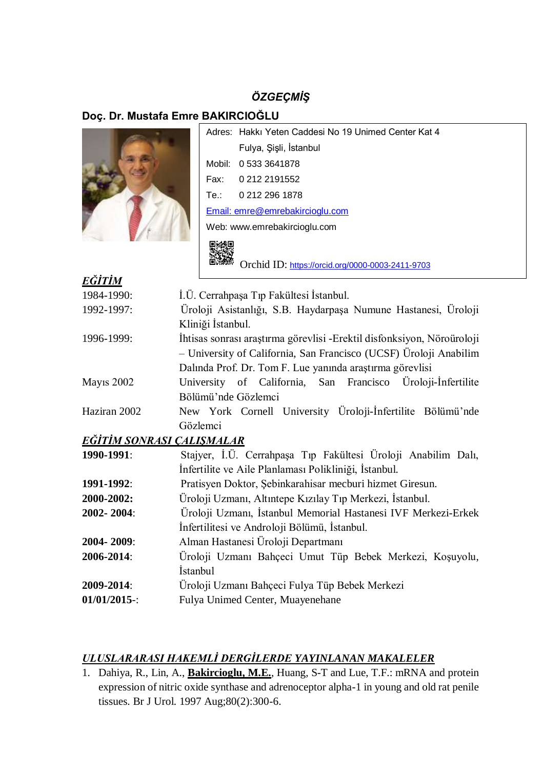# *ÖZGEÇMİŞ*

# **Doç. Dr. Mustafa Emre BAKIRCIOĞLU**



|                                 | Adres: Hakki Yeten Caddesi No 19 Unimed Center Kat 4 |  |
|---------------------------------|------------------------------------------------------|--|
|                                 | Fulya, Şişli, İstanbul                               |  |
|                                 | Mobil: 0.533.3641878                                 |  |
|                                 | Fax: 0.212.2191552                                   |  |
|                                 | Te.: 0 212 296 1878                                  |  |
| Email: emre@emrebakircioglu.com |                                                      |  |
| Web: www.emrebakircioglu.com    |                                                      |  |
|                                 |                                                      |  |

Orchid ID: <https://orcid.org/0000-0003-2411-9703>

| EĞİTİM            |                                                                         |
|-------------------|-------------------------------------------------------------------------|
|                   |                                                                         |
| 1984-1990:        | I.Ü. Cerrahpaşa Tıp Fakültesi İstanbul.                                 |
| 1992-1997:        | Üroloji Asistanlığı, S.B. Haydarpaşa Numune Hastanesi, Uroloji          |
|                   | Kliniği İstanbul.                                                       |
| 1996-1999:        | Ihtisas sonrası araştırma görevlisi - Erektil disfonksiyon, Nöroüroloji |
|                   | - University of California, San Francisco (UCSF) Üroloji Anabilim       |
|                   | Dalında Prof. Dr. Tom F. Lue yanında araştırma görevlisi                |
| <b>Mayıs 2002</b> | University of California, San Francisco Üroloji-Infertilite             |
|                   | Bölümü'nde Gözlemci                                                     |
| Haziran 2002      | New York Cornell University Üroloji-Infertilite Bölümü'nde              |
|                   | Gözlemci                                                                |
|                   | <u>EĞİTİM SONRASI ÇALIŞMALAR</u>                                        |
| 1990-1991:        | Stajyer, İ.Ü. Cerrahpaşa Tıp Fakültesi Üroloji Anabilim Dalı,           |
|                   | Infertilite ve Aile Planlaması Polikliniği, İstanbul.                   |
| 1991-1992:        | Pratisyen Doktor, Şebinkarahisar mecburi hizmet Giresun.                |
| 2000-2002:        | Üroloji Uzmanı, Altıntepe Kızılay Tıp Merkezi, İstanbul.                |
| 2002-2004:        | Üroloji Uzmanı, İstanbul Memorial Hastanesi IVF Merkezi-Erkek           |
|                   | Infertilitesi ve Androloji Bölümü, İstanbul.                            |
| 2004-2009:        | Alman Hastanesi Üroloji Departmanı                                      |
| 2006-2014:        | Üroloji Uzmanı Bahçeci Umut Tüp Bebek Merkezi, Koşuyolu,                |
|                   | <i>istanbul</i>                                                         |
| 2009-2014:        | Üroloji Uzmanı Bahçeci Fulya Tüp Bebek Merkezi                          |
|                   |                                                                         |

**01/01/2015**-: Fulya Unimed Center, Muayenehane

## *ULUSLARARASI HAKEMLİ DERGİLERDE YAYINLANAN MAKALELER*

1. Dahiya, R., Lin, A., **Bakircioglu, M.E.**, Huang, S-T and Lue, T.F.: mRNA and protein expression of nitric oxide synthase and adrenoceptor alpha-1 in young and old rat penile tissues. Br J Urol. 1997 Aug;80(2):300-6.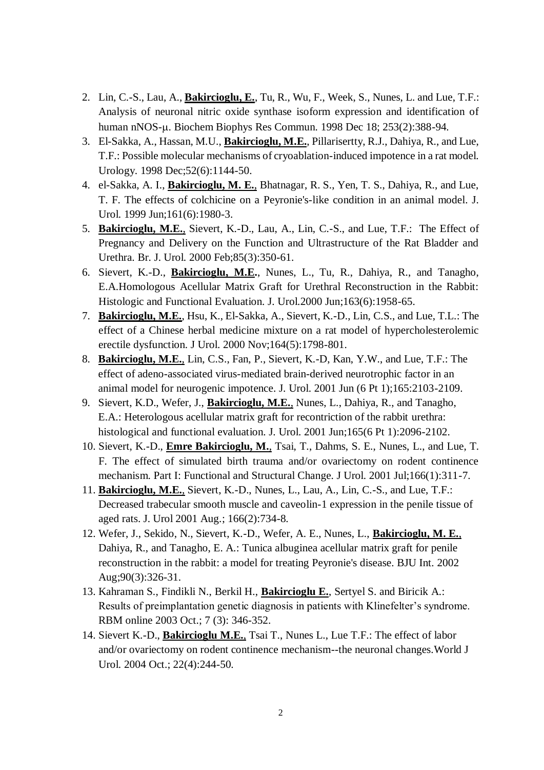- 2. Lin, C.-S., Lau, A., **Bakircioglu, E.**, Tu, R., Wu, F., Week, S., Nunes, L. and Lue, T.F.: Analysis of neuronal nitric oxide synthase isoform expression and identification of human nNOS-µ. Biochem Biophys Res Commun. 1998 Dec 18; 253(2):388-94.
- 3. El-Sakka, A., Hassan, M.U., **Bakircioglu, M.E.**, Pillarisertty, R.J., Dahiya, R., and Lue, T.F.: Possible molecular mechanisms of cryoablation-induced impotence in a rat model. Urology. 1998 Dec;52(6):1144-50.
- 4. el-Sakka, A. I., **Bakircioglu, M. E.**, Bhatnagar, R. S., Yen, T. S., Dahiya, R., and Lue, T. F. The effects of colchicine on a Peyronie's-like condition in an animal model. J. Urol. 1999 Jun;161(6):1980-3.
- 5. **Bakircioglu, M.E.**, Sievert, K.-D., Lau, A., Lin, C.-S., and Lue, T.F.: The Effect of Pregnancy and Delivery on the Function and Ultrastructure of the Rat Bladder and Urethra. Br. J. Urol. 2000 Feb;85(3):350-61.
- 6. Sievert, K.-D., **Bakircioglu, M.E.**, Nunes, L., Tu, R., Dahiya, R., and Tanagho, E.A.Homologous Acellular Matrix Graft for Urethral Reconstruction in the Rabbit: Histologic and Functional Evaluation. J. Urol.2000 Jun;163(6):1958-65.
- 7. **Bakircioglu, M.E.**, Hsu, K., El-Sakka, A., Sievert, K.-D., Lin, C.S., and Lue, T.L.: The effect of a Chinese herbal medicine mixture on a rat model of hypercholesterolemic erectile dysfunction. J Urol. 2000 Nov;164(5):1798-801.
- 8. **Bakircioglu, M.E.**, Lin, C.S., Fan, P., Sievert, K.-D, Kan, Y.W., and Lue, T.F.: The effect of adeno-associated virus-mediated brain-derived neurotrophic factor in an animal model for neurogenic impotence. J. Urol. 2001 Jun (6 Pt 1);165:2103-2109.
- 9. Sievert, K.D., Wefer, J., **Bakircioglu, M.E.**, Nunes, L., Dahiya, R., and Tanagho, E.A.: Heterologous acellular matrix graft for recontriction of the rabbit urethra: histological and functional evaluation. J. Urol. 2001 Jun;165(6 Pt 1):2096-2102.
- 10. Sievert, K.-D., **Emre Bakircioglu, M.**, Tsai, T., Dahms, S. E., Nunes, L., and Lue, T. F. The effect of simulated birth trauma and/or ovariectomy on rodent continence mechanism. Part I: Functional and Structural Change. J Urol. 2001 Jul;166(1):311-7.
- 11. **Bakircioglu, M.E.**, Sievert, K.-D., Nunes, L., Lau, A., Lin, C.-S., and Lue, T.F.: Decreased trabecular smooth muscle and caveolin-1 expression in the penile tissue of aged rats. J. Urol 2001 Aug.; 166(2):734-8.
- 12. Wefer, J., Sekido, N., Sievert, K.-D., Wefer, A. E., Nunes, L., **Bakircioglu, M. E.**, Dahiya, R., and Tanagho, E. A.: Tunica albuginea acellular matrix graft for penile reconstruction in the rabbit: a model for treating Peyronie's disease. BJU Int. 2002 Aug;90(3):326-31.
- 13. Kahraman S., Findikli N., Berkil H., **Bakircioglu E.**, Sertyel S. and Biricik A.: Results of preimplantation genetic diagnosis in patients with Klinefelter's syndrome. RBM online 2003 Oct.; 7 (3): 346-352.
- 14. Sievert K.-D., **Bakircioglu M.E.**, Tsai T., Nunes L., Lue T.F.: The effect of labor and/or ovariectomy on rodent continence mechanism--the neuronal changes.World J Urol. 2004 Oct.; 22(4):244-50.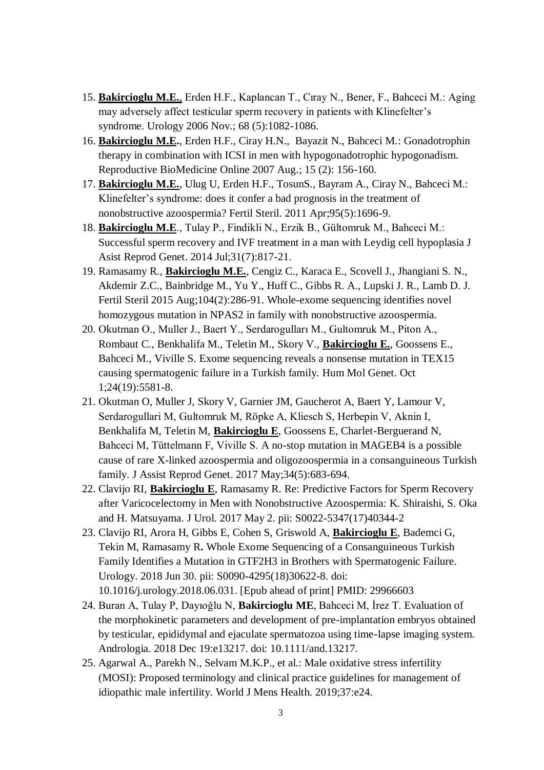- 15. **Bakircioglu M.E.**, Erden H.F., Kaplancan T., Cıray N., Bener, F., Bahceci M.: Aging may adversely affect testicular sperm recovery in patients with Klinefelter's syndrome. Urology 2006 Nov.; 68 (5):1082-1086.
- 16. **Bakircioglu M.E.**, Erden H.F., Ciray H.N., Bayazit N., Bahceci M.: Gonadotrophin therapy in combination with ICSI in men with hypogonadotrophic hypogonadism. Reproductive BioMedicine Online 2007 Aug.; 15 (2): 156-160.
- 17. **Bakircioglu M.E.**, Ulug U, Erden H.F., TosunS., Bayram A., Ciray N., Bahceci M.: Klinefelter's syndrome: does it confer a bad prognosis in the treatment of nonobstructive azoospermia? Fertil Steril. 2011 Apr;95(5):1696-9.
- 18. **Bakircioglu M.E**., Tulay P., Findikli N., Erzik B., Gültomruk M., Bahceci M.: Successful sperm recovery and IVF treatment in a man with Leydig cell hypoplasia J Asist Reprod Genet. 2014 Jul;31(7):817-21.
- 19. Ramasamy R., **Bakircioglu M.E.**, Cengiz C., Karaca E., Scovell J., Jhangiani S. N., Akdemir Z.C., Bainbridge M., Yu Y., Huff C., Gibbs R. A., Lupski J. R., Lamb D. J. Fertil Steril 2015 Aug;104(2):286-91. Whole-exome sequencing identifies novel homozygous mutation in NPAS2 in family with nonobstructive azoospermia.
- 20. Okutman O., Muller J., Baert Y., Serdarogulları M., Gultomruk M., Piton A., Rombaut C., Benkhalifa M., Teletin M., Skory V., **Bakircioglu E.**, Goossens E., Bahceci M., Viville S. Exome sequencing reveals a nonsense mutation in TEX15 causing spermatogenic failure in a Turkish family. Hum Mol Genet. Oct 1;24(19):5581-8.
- 21. Okutman O, Muller J, Skory V, Garnier JM, Gaucherot A, Baert Y, Lamour V, Serdarogullari M, Gultomruk M, Röpke A, Kliesch S, Herbepin V, Aknin I, Benkhalifa M, Teletin M, **Bakircioglu E**, Goossens E, Charlet-Berguerand N, Bahceci M, Tüttelmann F, Viville S. A no-stop mutation in MAGEB4 is a possible cause of rare X-linked azoospermia and oligozoospermia in a consanguineous Turkish family. J Assist Reprod Genet. 2017 May;34(5):683-694.
- 22. Clavijo RI, **Bakircioglu E**, Ramasamy R. [Re: Predictive Factors for Sperm Recovery](https://www.ncbi.nlm.nih.gov/pubmed/28475853)  [after Varicocelectomy in Men with Nonobstructive Azoospermia: K. Shiraishi, S. Oka](https://www.ncbi.nlm.nih.gov/pubmed/28475853)  [and H. Matsuyama.](https://www.ncbi.nlm.nih.gov/pubmed/28475853) J Urol. 2017 May 2. pii: S0022-5347(17)40344-2
- 23. Clavijo RI, Arora H, Gibbs E, Cohen S, Griswold A, **Bakircioglu E**, Bademci G, Tekin M, Ramasamy R**.** Whole Exome Sequencing of a Consanguineous Turkish Family Identifies a Mutation in GTF2H3 in Brothers with Spermatogenic Failure. Urology. 2018 Jun 30. pii: S0090-4295(18)30622-8. doi: 10.1016/j.urology.2018.06.031. [Epub ahead of print] PMID: 29966603
- 24. Buran A, Tulay P, Dayıoğlu N, **Bakircioglu ME**, Bahceci M, İrez T. Evaluation of the morphokinetic parameters and development of pre-implantation embryos obtained by testicular, epididymal and ejaculate spermatozoa using time-lapse imaging system. Andrologia. 2018 Dec 19:e13217. doi: 10.1111/and.13217.
- 25. Agarwal A., Parekh N., Selvam M.K.P., et al.: Male oxidative stress infertility (MOSI): Proposed terminology and clinical practice guidelines for management of idiopathic male infertility. World J Mens Health. 2019;37:e24.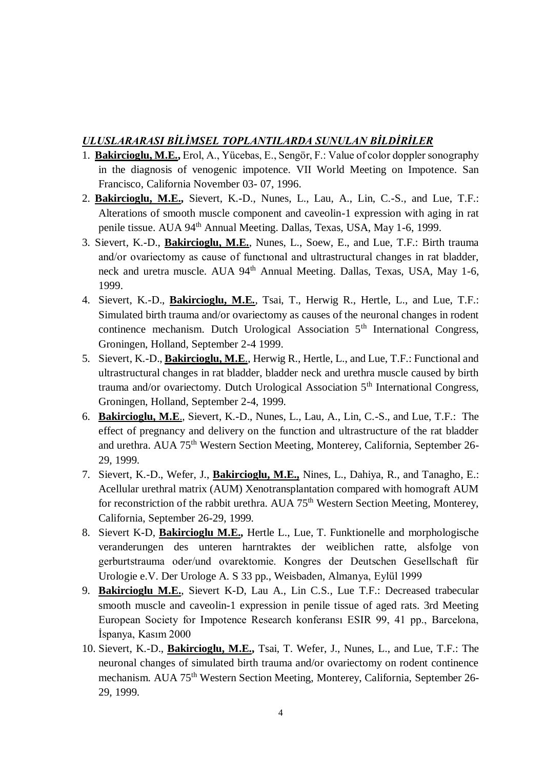#### *ULUSLARARASI BİLİMSEL TOPLANTILARDA SUNULAN BİLDİRİLER*

- 1. **Bakircioglu, M.E.,** Erol, A., Yücebas, E., Sengör, F.: Value of color doppler sonography in the diagnosis of venogenic impotence. VII World Meeting on Impotence. San Francisco, California November 03- 07, 1996.
- 2. **Bakircioglu, M.E.,** Sievert, K.-D., Nunes, L., Lau, A., Lin, C.-S., and Lue, T.F.: Alterations of smooth muscle component and caveolin-1 expression with aging in rat penile tissue. AUA 94th Annual Meeting. Dallas, Texas, USA, May 1-6, 1999.
- 3. Sievert, K.-D., **Bakircioglu, M.E.**, Nunes, L., Soew, E., and Lue, T.F.: Birth trauma and/or ovariectomy as cause of functıonal and ultrastructural changes in rat bladder, neck and uretra muscle. AUA 94<sup>th</sup> Annual Meeting. Dallas, Texas, USA, May 1-6, 1999.
- 4. Sievert, K.-D., **Bakircioglu, M.E.**, Tsai, T., Herwig R., Hertle, L., and Lue, T.F.: Simulated birth trauma and/or ovariectomy as causes of the neuronal changes in rodent continence mechanism. Dutch Urological Association 5<sup>th</sup> International Congress, Groningen, Holland, September 2-4 1999.
- 5. Sievert, K.-D., **Bakircioglu, M.E**., Herwig R., Hertle, L., and Lue, T.F.: Functional and ultrastructural changes in rat bladder, bladder neck and urethra muscle caused by birth trauma and/or ovariectomy. Dutch Urological Association 5<sup>th</sup> International Congress, Groningen, Holland, September 2-4, 1999.
- 6. **Bakircioglu, M.E**., Sievert, K.-D., Nunes, L., Lau, A., Lin, C.-S., and Lue, T.F.: The effect of pregnancy and delivery on the function and ultrastructure of the rat bladder and urethra. AUA 75<sup>th</sup> Western Section Meeting, Monterey, California, September 26-29, 1999.
- 7. Sievert, K.-D., Wefer, J., **Bakircioglu, M.E.,** Nines, L., Dahiya, R., and Tanagho, E.: Acellular urethral matrix (AUM) Xenotransplantation compared with homograft AUM for reconstriction of the rabbit urethra. AUA 75<sup>th</sup> Western Section Meeting, Monterey, California, September 26-29, 1999.
- 8. Sievert K-D, **Bakircioglu M.E.,** Hertle L., Lue, T. Funktionelle and morphologische veranderungen des unteren harntraktes der weiblichen ratte, alsfolge von gerburtstrauma oder/und ovarektomie. Kongres der Deutschen Gesellschaft für Urologie e.V. Der Urologe A. S 33 pp., Weisbaden, Almanya, Eylül 1999
- 9. **Bakircioglu M.E.**, Sievert K-D, Lau A., Lin C.S., Lue T.F.: Decreased trabecular smooth muscle and caveolin-1 expression in penile tissue of aged rats. 3rd Meeting European Society for Impotence Research konferansı ESIR 99, 41 pp., Barcelona, İspanya, Kasım 2000
- 10. Sievert, K.-D., **Bakircioglu, M.E.,** Tsai, T. Wefer, J., Nunes, L., and Lue, T.F.: The neuronal changes of simulated birth trauma and/or ovariectomy on rodent continence mechanism. AUA 75<sup>th</sup> Western Section Meeting, Monterey, California, September 26-29, 1999.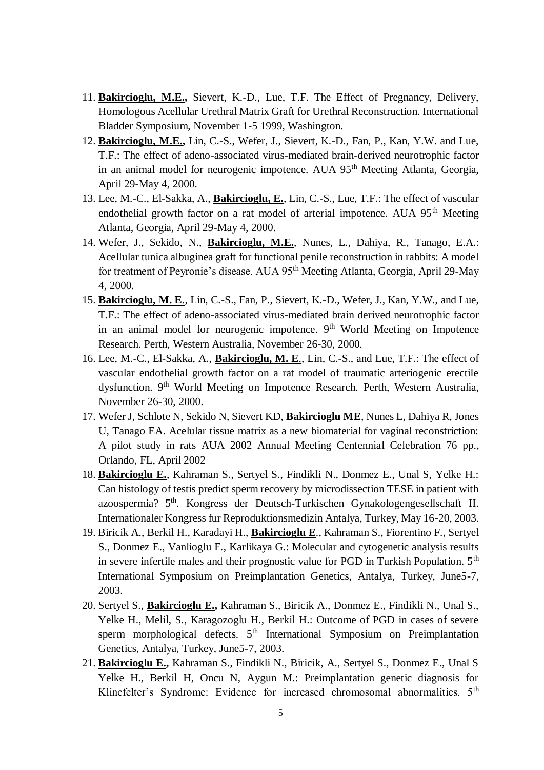- 11. **Bakircioglu, M.E.,** Sievert, K.-D., Lue, T.F. The Effect of Pregnancy, Delivery, Homologous Acellular Urethral Matrix Graft for Urethral Reconstruction. International Bladder Symposium, November 1-5 1999, Washington.
- 12. **Bakircioglu, M.E.,** Lin, C.-S., Wefer, J., Sievert, K.-D., Fan, P., Kan, Y.W. and Lue, T.F.: The effect of adeno-associated virus-mediated brain-derived neurotrophic factor in an animal model for neurogenic impotence. AUA 95<sup>th</sup> Meeting Atlanta, Georgia, April 29-May 4, 2000.
- 13. Lee, M.-C., El-Sakka, A., **Bakircioglu, E.**, Lin, C.-S., Lue, T.F.: The effect of vascular endothelial growth factor on a rat model of arterial impotence. AUA 95<sup>th</sup> Meeting Atlanta, Georgia, April 29-May 4, 2000.
- 14. Wefer, J., Sekido, N., **Bakircioglu, M.E.**, Nunes, L., Dahiya, R., Tanago, E.A.: Acellular tunica albuginea graft for functional penile reconstruction in rabbits: A model for treatment of Peyronie's disease. AUA 95<sup>th</sup> Meeting Atlanta, Georgia, April 29-May 4, 2000.
- 15. **Bakircioglu, M. E**., Lin, C.-S., Fan, P., Sievert, K.-D., Wefer, J., Kan, Y.W., and Lue, T.F.: The effect of adeno-associated virus-mediated brain derived neurotrophic factor in an animal model for neurogenic impotence.  $9<sup>th</sup>$  World Meeting on Impotence Research. Perth, Western Australia, November 26-30, 2000.
- 16. Lee, M.-C., El-Sakka, A., **Bakircioglu, M. E**., Lin, C.-S., and Lue, T.F.: The effect of vascular endothelial growth factor on a rat model of traumatic arteriogenic erectile dysfunction. 9<sup>th</sup> World Meeting on Impotence Research. Perth, Western Australia, November 26-30, 2000.
- 17. Wefer J, Schlote N, Sekido N, Sievert KD, **Bakircioglu ME**, Nunes L, Dahiya R, Jones U, Tanago EA. Acelular tissue matrix as a new biomaterial for vaginal reconstriction: A pilot study in rats AUA 2002 Annual Meeting Centennial Celebration 76 pp., Orlando, FL, April 2002
- 18. **Bakircioglu E.**, Kahraman S., Sertyel S., Findikli N., Donmez E., Unal S, Yelke H.: Can histology of testis predict sperm recovery by microdissection TESE in patient with azoospermia? 5th. Kongress der Deutsch-Turkischen Gynakologengesellschaft II. Internationaler Kongress fur Reproduktionsmedizin Antalya, Turkey, May 16-20, 2003.
- 19. Biricik A., Berkil H., Karadayi H., **Bakircioglu E**., Kahraman S., Fiorentino F., Sertyel S., Donmez E., Vanlioglu F., Karlikaya G.: Molecular and cytogenetic analysis results in severe infertile males and their prognostic value for PGD in Turkish Population. 5<sup>th</sup> International Symposium on Preimplantation Genetics, Antalya, Turkey, June5-7, 2003.
- 20. Sertyel S., **Bakircioglu E.,** Kahraman S., Biricik A., Donmez E., Findikli N., Unal S., Yelke H., Melil, S., Karagozoglu H., Berkil H.: Outcome of PGD in cases of severe sperm morphological defects.  $5<sup>th</sup>$  International Symposium on Preimplantation Genetics, Antalya, Turkey, June5-7, 2003.
- 21. **Bakircioglu E.,** Kahraman S., Findikli N., Biricik, A., Sertyel S., Donmez E., Unal S Yelke H., Berkil H, Oncu N, Aygun M.: Preimplantation genetic diagnosis for Klinefelter's Syndrome: Evidence for increased chromosomal abnormalities. 5<sup>th</sup>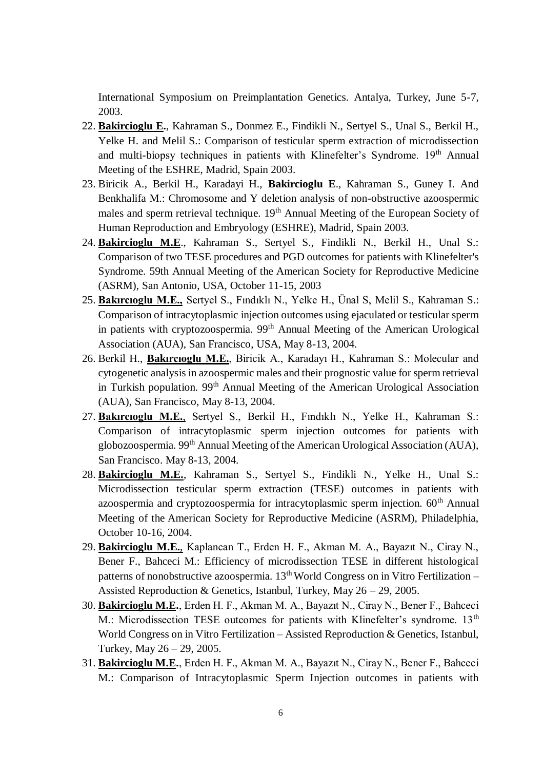International Symposium on Preimplantation Genetics. Antalya, Turkey, June 5-7, 2003.

- 22. **Bakircioglu E.**, Kahraman S., Donmez E., Findikli N., Sertyel S., Unal S., Berkil H., Yelke H. and Melil S.: Comparison of testicular sperm extraction of microdissection and multi-biopsy techniques in patients with Klinefelter's Syndrome. 19<sup>th</sup> Annual Meeting of the ESHRE, Madrid, Spain 2003.
- 23. Biricik A., Berkil H., Karadayi H., **Bakircioglu E**., Kahraman S., Guney I. And Benkhalifa M.: Chromosome and Y deletion analysis of non-obstructive azoospermic males and sperm retrieval technique. 19<sup>th</sup> Annual Meeting of the European Society of Human Reproduction and Embryology (ESHRE), Madrid, Spain 2003.
- 24. **Bakircioglu M.E**., Kahraman S., Sertyel S., Findikli N., Berkil H., Unal S.: Comparison of two TESE procedures and PGD outcomes for patients with Klinefelter's Syndrome. 59th Annual Meeting of the American Society for Reproductive Medicine (ASRM), San Antonio, USA, October 11-15, 2003
- 25. **Bakırcıoglu M.E.,** Sertyel S., Fındıklı N., Yelke H., Ünal S, Melil S., Kahraman S.: Comparison of intracytoplasmic injection outcomes using ejaculated or testicular sperm in patients with cryptozoospermia. 99<sup>th</sup> Annual Meeting of the American Urological Association (AUA), San Francisco, USA, May 8-13, 2004.
- 26. Berkil H., **Bakırcıoglu M.E.**, Biricik A., Karadayı H., Kahraman S.: Molecular and cytogenetic analysis in azoospermic males and their prognostic value for sperm retrieval in Turkish population.  $99<sup>th</sup>$  Annual Meeting of the American Urological Association (AUA), San Francisco, May 8-13, 2004.
- 27. **Bakırcıoglu M.E.**, Sertyel S., Berkil H., Fındıklı N., Yelke H., Kahraman S.: Comparison of intracytoplasmic sperm injection outcomes for patients with globozoospermia. 99th Annual Meeting of the American Urological Association (AUA), San Francisco. May 8-13, 2004.
- 28. **Bakircioglu M.E.**, Kahraman S., Sertyel S., Findikli N., Yelke H., Unal S.: Microdissection testicular sperm extraction (TESE) outcomes in patients with azoospermia and cryptozoospermia for intracytoplasmic sperm injection.  $60<sup>th</sup>$  Annual Meeting of the American Society for Reproductive Medicine (ASRM), Philadelphia, October 10-16, 2004.
- 29. **Bakircioglu M.E.**, Kaplancan T., Erden H. F., Akman M. A., Bayazıt N., Ciray N., Bener F., Bahceci M.: Efficiency of microdissection TESE in different histological patterns of nonobstructive azoospermia.  $13<sup>th</sup>$  World Congress on in Vitro Fertilization – Assisted Reproduction & Genetics, Istanbul, Turkey, May 26 – 29, 2005.
- 30. **Bakircioglu M.E.**, Erden H. F., Akman M. A., Bayazıt N., Ciray N., Bener F., Bahceci M.: Microdissection TESE outcomes for patients with Klinefelter's syndrome. 13<sup>th</sup> World Congress on in Vitro Fertilization – Assisted Reproduction & Genetics, Istanbul, Turkey, May 26 – 29, 2005.
- 31. **Bakircioglu M.E.**, Erden H. F., Akman M. A., Bayazıt N., Ciray N., Bener F., Bahceci M.: Comparison of Intracytoplasmic Sperm Injection outcomes in patients with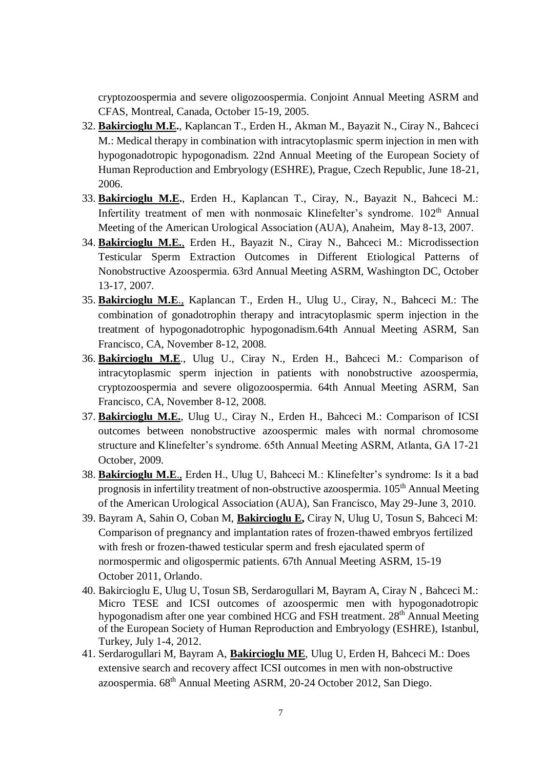cryptozoospermia and severe oligozoospermia. Conjoint Annual Meeting ASRM and CFAS, Montreal, Canada, October 15-19, 2005.

- 32. **Bakircioglu M.E.**, Kaplancan T., Erden H., Akman M., Bayazit N., Ciray N., Bahceci M.: Medical therapy in combination with intracytoplasmic sperm injection in men with hypogonadotropic hypogonadism. 22nd Annual Meeting of the European Society of Human Reproduction and Embryology (ESHRE), Prague, Czech Republic, June 18-21, 2006.
- 33. **Bakircioglu M.E.**, Erden H., Kaplancan T., Ciray, N., Bayazit N., Bahceci M.: Infertility treatment of men with nonmosaic Klinefelter's syndrome. 102<sup>th</sup> Annual Meeting of the American Urological Association (AUA), Anaheim, May 8-13, 2007.
- 34. **Bakircioglu M.E.**, Erden H., Bayazit N., Ciray N., Bahceci M.: Microdissection Testicular Sperm Extraction Outcomes in Different Etiological Patterns of Nonobstructive Azoospermia. 63rd Annual Meeting ASRM, Washington DC, October 13-17, 2007.
- 35. **Bakircioglu M.E**., Kaplancan T., Erden H., Ulug U., Ciray, N., Bahceci M.: The combination of gonadotrophin therapy and intracytoplasmic sperm injection in the treatment of hypogonadotrophic hypogonadism.64th Annual Meeting ASRM, San Francisco, CA, November 8-12, 2008.
- 36. **Bakircioglu M.E**., Ulug U., Ciray N., Erden H., Bahceci M.: Comparison of intracytoplasmic sperm injection in patients with nonobstructive azoospermia, cryptozoospermia and severe oligozoospermia. 64th Annual Meeting ASRM, San Francisco, CA, November 8-12, 2008.
- 37. **Bakircioglu M.E.**, Ulug U., Ciray N., Erden H., Bahceci M.: Comparison of ICSI outcomes between nonobstructive azoospermic males with normal chromosome structure and Klinefelter's syndrome. 65th Annual Meeting ASRM, Atlanta, GA 17-21 October, 2009.
- 38. **Bakircioglu M.E**., Erden H., Ulug U, Bahceci M.: Klinefelter's syndrome: Is it a bad prognosis in infertility treatment of non-obstructive azoospermia. 105<sup>th</sup> Annual Meeting of the American Urological Association (AUA), San Francisco, May 29-June 3, 2010.
- 39. Bayram A, Sahin O, Coban M, **Bakircioglu E,** Ciray N, Ulug U, Tosun S, Bahceci M: Comparison of pregnancy and implantation rates of frozen-thawed embryos fertilized with fresh or frozen-thawed testicular sperm and fresh ejaculated sperm of normospermic and oligospermic patients. 67th Annual Meeting ASRM, 15-19 October 2011, Orlando.
- 40. Bakircioglu E, Ulug U, Tosun SB, Serdarogullari M, Bayram A, Ciray N , Bahceci M.: Micro TESE and ICSI outcomes of azoospermic men with hypogonadotropic hypogonadism after one year combined HCG and FSH treatment. 28<sup>th</sup> Annual Meeting of the European Society of Human Reproduction and Embryology (ESHRE), Istanbul, Turkey, July 1-4, 2012.
- 41. Serdarogullari M, Bayram A, **Bakircioglu ME**, Ulug U, Erden H, Bahceci M.: Does extensive search and recovery affect ICSI outcomes in men with non-obstructive azoospermia. 68th Annual Meeting ASRM, 20-24 October 2012, San Diego.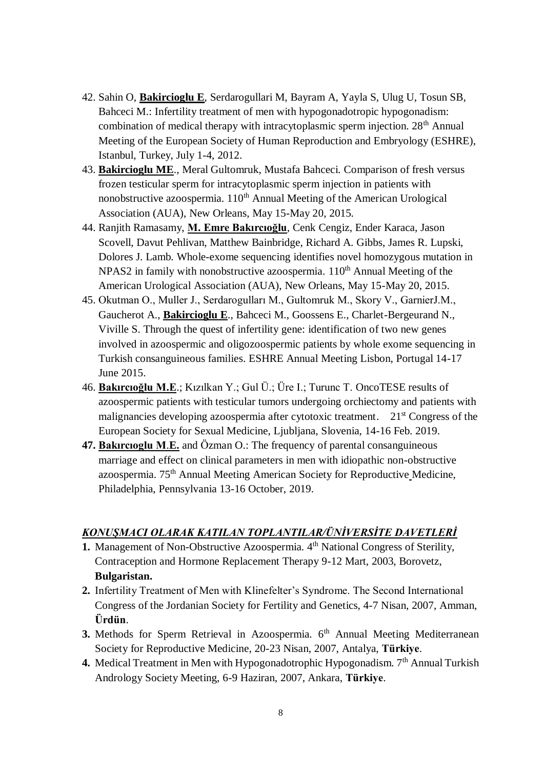- 42. Sahin O, **Bakircioglu E**, Serdarogullari M, Bayram A, Yayla S, Ulug U, Tosun SB, Bahceci M.: Infertility treatment of men with hypogonadotropic hypogonadism: combination of medical therapy with intracytoplasmic sperm injection.  $28<sup>th</sup>$  Annual Meeting of the European Society of Human Reproduction and Embryology (ESHRE), Istanbul, Turkey, July 1-4, 2012.
- 43. **Bakircioglu ME**., Meral Gultomruk, Mustafa Bahceci. Comparison of fresh versus frozen testicular sperm for intracytoplasmic sperm injection in patients with nonobstructive azoospermia.  $110<sup>th</sup>$  Annual Meeting of the American Urological Association (AUA), New Orleans, May 15-May 20, 2015.
- 44. Ranjith Ramasamy, **M. Emre Bakırcıoğlu**, Cenk Cengiz, Ender Karaca, Jason Scovell, Davut Pehlivan, Matthew Bainbridge, Richard A. Gibbs, James R. Lupski, Dolores J. Lamb. Whole-exome sequencing identifies novel homozygous mutation in  $NPAS2$  in family with nonobstructive azoospermia.  $110<sup>th</sup>$  Annual Meeting of the American Urological Association (AUA), New Orleans, May 15-May 20, 2015.
- 45. Okutman O., Muller J., Serdarogulları M., Gultomruk M., Skory V., GarnierJ.M., Gaucherot A., **Bakircioglu E**., Bahceci M., Goossens E., Charlet-Bergeurand N., Viville S. Through the quest of infertility gene: identification of two new genes involved in azoospermic and oligozoospermic patients by whole exome sequencing in Turkish consanguineous families. ESHRE Annual Meeting Lisbon, Portugal 14-17 June 2015.
- 46. **Bakırcıoğlu M.E**.; Kızılkan Y.; Gul Ü.; Üre I.; Turunc T. OncoTESE results of azoospermic patients with testicular tumors undergoing orchiectomy and patients with malignancies developing azoospermia after cytotoxic treatment. 21<sup>st</sup> Congress of the European Society for Sexual Medicine, Ljubljana, Slovenia, 14-16 Feb. 2019.
- **47. Bakırcıoglu M**.**E.** and Özman O.: The frequency of parental consanguineous marriage and effect on clinical parameters in men with idiopathic non-obstructive azoospermia. 75th Annual Meeting American Society for Reproductive Medicine, Philadelphia, Pennsylvania 13-16 October, 2019.

#### *KONUŞMACI OLARAK KATILAN TOPLANTILAR/ÜNİVERSİTE DAVETLERİ*

- **1.** Management of Non-Obstructive Azoospermia. 4<sup>th</sup> National Congress of Sterility, Contraception and Hormone Replacement Therapy 9-12 Mart, 2003, Borovetz, **Bulgaristan.**
- **2.** Infertility Treatment of Men with Klinefelter's Syndrome. The Second International Congress of the Jordanian Society for Fertility and Genetics, 4-7 Nisan, 2007, Amman, **Ürdün**.
- **3.** Methods for Sperm Retrieval in Azoospermia. 6<sup>th</sup> Annual Meeting Mediterranean Society for Reproductive Medicine, 20-23 Nisan, 2007, Antalya, **Türkiye**.
- **4.** Medical Treatment in Men with Hypogonadotrophic Hypogonadism. 7<sup>th</sup> Annual Turkish Andrology Society Meeting, 6-9 Haziran, 2007, Ankara, **Türkiye**.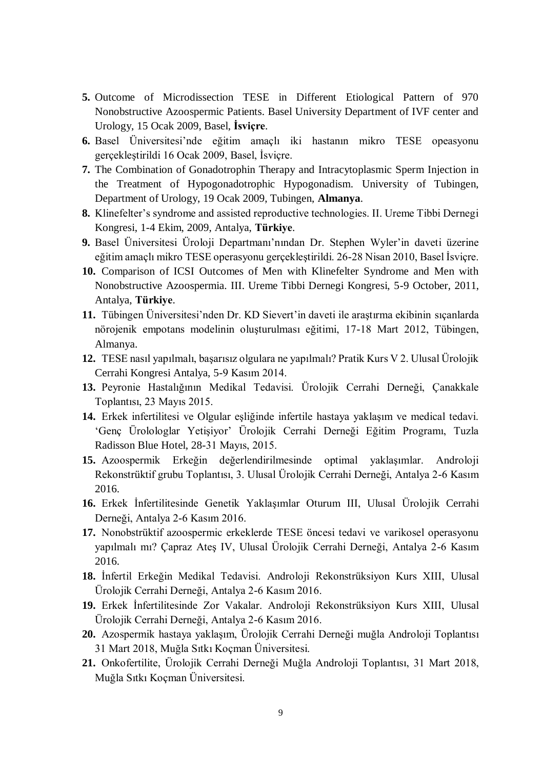- **5.** Outcome of Microdissection TESE in Different Etiological Pattern of 970 Nonobstructive Azoospermic Patients. Basel University Department of IVF center and Urology, 15 Ocak 2009, Basel, **İsviçre**.
- **6.** Basel Üniversitesi'nde eğitim amaçlı iki hastanın mikro TESE opeasyonu gerçekleştirildi 16 Ocak 2009, Basel, İsviçre.
- **7.** The Combination of Gonadotrophin Therapy and Intracytoplasmic Sperm Injection in the Treatment of Hypogonadotrophic Hypogonadism. University of Tubingen, Department of Urology, 19 Ocak 2009, Tubingen, **Almanya**.
- **8.** Klinefelter's syndrome and assisted reproductive technologies. II. Ureme Tibbi Dernegi Kongresi, 1-4 Ekim, 2009, Antalya, **Türkiye**.
- **9.** Basel Üniversitesi Üroloji Departmanı'nından Dr. Stephen Wyler'in daveti üzerine eğitim amaçlı mikro TESE operasyonu gerçekleştirildi. 26-28 Nisan 2010, Basel İsviçre.
- **10.** Comparison of ICSI Outcomes of Men with Klinefelter Syndrome and Men with Nonobstructive Azoospermia. III. Ureme Tibbi Dernegi Kongresi, 5-9 October, 2011, Antalya, **Türkiye**.
- **11.** Tübingen Üniversitesi'nden Dr. KD Sievert'in daveti ile araştırma ekibinin sıçanlarda nörojenik empotans modelinin oluşturulması eğitimi, 17-18 Mart 2012, Tübingen, Almanya.
- **12.** TESE nasıl yapılmalı, başarısız olgulara ne yapılmalı? Pratik Kurs V 2. Ulusal Ürolojik Cerrahi Kongresi Antalya, 5-9 Kasım 2014.
- **13.** Peyronie Hastalığının Medikal Tedavisi. Ürolojik Cerrahi Derneği, Çanakkale Toplantısı, 23 Mayıs 2015.
- **14.** Erkek infertilitesi ve Olgular eşliğinde infertile hastaya yaklaşım ve medical tedavi. 'Genç Ürolologlar Yetişiyor' Ürolojik Cerrahi Derneği Eğitim Programı, Tuzla Radisson Blue Hotel, 28-31 Mayıs, 2015.
- **15.** Azoospermik Erkeğin değerlendirilmesinde optimal yaklaşımlar. Androloji Rekonstrüktif grubu Toplantısı, 3. Ulusal Ürolojik Cerrahi Derneği, Antalya 2-6 Kasım 2016.
- **16.** Erkek İnfertilitesinde Genetik Yaklaşımlar Oturum III, Ulusal Ürolojik Cerrahi Derneği, Antalya 2-6 Kasım 2016.
- **17.** Nonobstrüktif azoospermic erkeklerde TESE öncesi tedavi ve varikosel operasyonu yapılmalı mı? Çapraz Ateş IV, Ulusal Ürolojik Cerrahi Derneği, Antalya 2-6 Kasım 2016.
- **18.** İnfertil Erkeğin Medikal Tedavisi. Androloji Rekonstrüksiyon Kurs XIII, Ulusal Ürolojik Cerrahi Derneği, Antalya 2-6 Kasım 2016.
- **19.** Erkek İnfertilitesinde Zor Vakalar. Androloji Rekonstrüksiyon Kurs XIII, Ulusal Ürolojik Cerrahi Derneği, Antalya 2-6 Kasım 2016.
- **20.** Azospermik hastaya yaklaşım, Ürolojik Cerrahi Derneği muğla Androloji Toplantısı 31 Mart 2018, Muğla Sıtkı Koçman Üniversitesi.
- **21.** Onkofertilite, Ürolojik Cerrahi Derneği Muğla Androloji Toplantısı, 31 Mart 2018, Muğla Sıtkı Koçman Üniversitesi.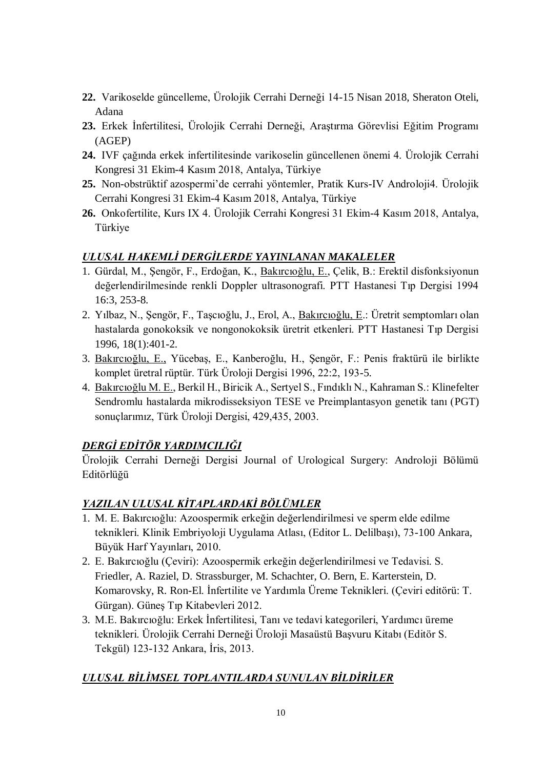- **22.** Varikoselde güncelleme, Ürolojik Cerrahi Derneği 14-15 Nisan 2018, Sheraton Oteli, Adana
- **23.** Erkek İnfertilitesi, Ürolojik Cerrahi Derneği, Araştırma Görevlisi Eğitim Programı (AGEP)
- **24.** IVF çağında erkek infertilitesinde varikoselin güncellenen önemi 4. Ürolojik Cerrahi Kongresi 31 Ekim-4 Kasım 2018, Antalya, Türkiye
- **25.** Non-obstrüktif azospermi'de cerrahi yöntemler, Pratik Kurs-IV Androloji4. Ürolojik Cerrahi Kongresi 31 Ekim-4 Kasım 2018, Antalya, Türkiye
- **26.** Onkofertilite, Kurs IX 4. Ürolojik Cerrahi Kongresi 31 Ekim-4 Kasım 2018, Antalya, Türkiye

#### *ULUSAL HAKEMLİ DERGİLERDE YAYINLANAN MAKALELER*

- 1. Gürdal, M., Şengör, F., Erdoğan, K., Bakırcıoğlu, E., Çelik, B.: Erektil disfonksiyonun değerlendirilmesinde renkli Doppler ultrasonografi. PTT Hastanesi Tıp Dergisi 1994 16:3, 253-8.
- 2. Yılbaz, N., Şengör, F., Taşcıoğlu, J., Erol, A., Bakırcıoğlu, E.: Üretrit semptomları olan hastalarda gonokoksik ve nongonokoksik üretrit etkenleri. PTT Hastanesi Tıp Dergisi 1996, 18(1):401-2.
- 3. Bakırcıoğlu, E., Yücebaş, E., Kanberoğlu, H., Şengör, F.: Penis fraktürü ile birlikte komplet üretral rüptür. Türk Üroloji Dergisi 1996, 22:2, 193-5.
- 4. Bakırcıoğlu M. E., Berkil H., Biricik A., Sertyel S., Fındıklı N., Kahraman S.: Klinefelter Sendromlu hastalarda mikrodisseksiyon TESE ve Preimplantasyon genetik tanı (PGT) sonuçlarımız, Türk Üroloji Dergisi, 429,435, 2003.

# *DERGİ EDİTÖR YARDIMCILIĞI*

Ürolojik Cerrahi Derneği Dergisi Journal of Urological Surgery: Androloji Bölümü Editörlüğü

### *YAZILAN ULUSAL KİTAPLARDAKİ BÖLÜMLER*

- 1. M. E. Bakırcıoğlu: Azoospermik erkeğin değerlendirilmesi ve sperm elde edilme teknikleri. Klinik Embriyoloji Uygulama Atlası, (Editor L. Delilbaşı), 73-100 Ankara, Büyük Harf Yayınları, 2010.
- 2. E. Bakırcıoğlu (Çeviri): Azoospermik erkeğin değerlendirilmesi ve Tedavisi. S. Friedler, A. Raziel, D. Strassburger, M. Schachter, O. Bern, E. Karterstein, D. Komarovsky, R. Ron-El. İnfertilite ve Yardımla Üreme Teknikleri. (Çeviri editörü: T. Gürgan). Güneş Tıp Kitabevleri 2012.
- 3. M.E. Bakırcıoğlu: Erkek İnfertilitesi, Tanı ve tedavi kategorileri, Yardımcı üreme teknikleri. Ürolojik Cerrahi Derneği Üroloji Masaüstü Başvuru Kitabı (Editör S. Tekgül) 123-132 Ankara, İris, 2013.

# *ULUSAL BİLİMSEL TOPLANTILARDA SUNULAN BİLDİRİLER*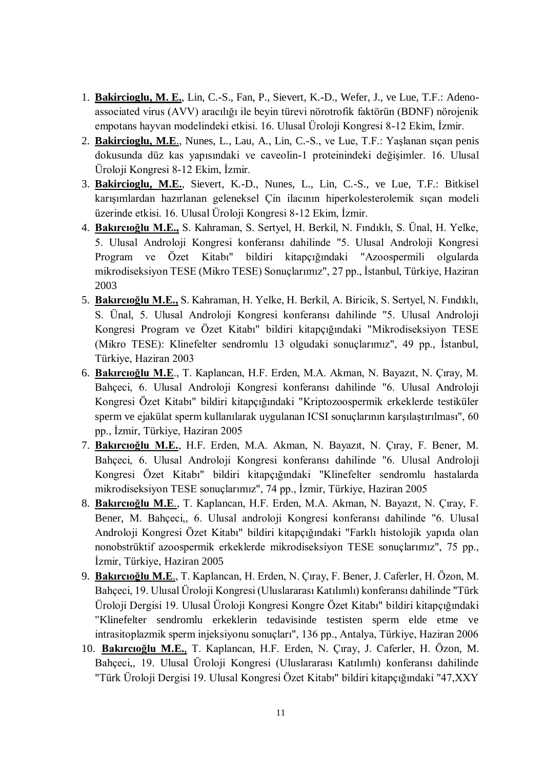- 1. **Bakircioglu, M. E.**, Lin, C.-S., Fan, P., Sievert, K.-D., Wefer, J., ve Lue, T.F.: Adenoassociated virus (AVV) aracılığı ile beyin türevi nörotrofik faktörün (BDNF) nörojenik empotans hayvan modelindeki etkisi. 16. Ulusal Üroloji Kongresi 8-12 Ekim, İzmir.
- 2. **Bakircioglu, M.E**., Nunes, L., Lau, A., Lin, C.-S., ve Lue, T.F.: Yaşlanan sıçan penis dokusunda düz kas yapısındaki ve caveolin-1 proteinindeki değişimler. 16. Ulusal Üroloji Kongresi 8-12 Ekim, İzmir.
- 3. **Bakircioglu, M.E.**, Sievert, K.-D., Nunes, L., Lin, C.-S., ve Lue, T.F.: Bitkisel karışımlardan hazırlanan geleneksel Çin ilacının hiperkolesterolemik sıçan modeli üzerinde etkisi. 16. Ulusal Üroloji Kongresi 8-12 Ekim, İzmir.
- 4. **Bakırcıoğlu M.E.,** S. Kahraman, S. Sertyel, H. Berkil, N. Fındıklı, S. Ünal, H. Yelke, 5. Ulusal Androloji Kongresi konferansı dahilinde "5. Ulusal Androloji Kongresi Program ve Özet Kitabı" bildiri kitapçığındaki "Azoospermili olgularda mikrodiseksiyon TESE (Mikro TESE) Sonuçlarımız", 27 pp., İstanbul, Türkiye, Haziran 2003
- 5. **Bakırcıoğlu M.E.,** S. Kahraman, H. Yelke, H. Berkil, A. Biricik, S. Sertyel, N. Fındıklı, S. Ünal, 5. Ulusal Androloji Kongresi konferansı dahilinde "5. Ulusal Androloji Kongresi Program ve Özet Kitabı" bildiri kitapçığındaki "Mikrodiseksiyon TESE (Mikro TESE): Klinefelter sendromlu 13 olgudaki sonuçlarımız", 49 pp., İstanbul, Türkiye, Haziran 2003
- 6. **Bakırcıoğlu M.E**., T. Kaplancan, H.F. Erden, M.A. Akman, N. Bayazıt, N. Çıray, M. Bahçeci, 6. Ulusal Androloji Kongresi konferansı dahilinde "6. Ulusal Androloji Kongresi Özet Kitabı" bildiri kitapçığındaki "Kriptozoospermik erkeklerde testiküler sperm ve ejakülat sperm kullanılarak uygulanan ICSI sonuçlarının karşılaştırılması", 60 pp., İzmir, Türkiye, Haziran 2005
- 7. **Bakırcıoğlu M.E.**, H.F. Erden, M.A. Akman, N. Bayazıt, N. Çıray, F. Bener, M. Bahçeci, 6. Ulusal Androloji Kongresi konferansı dahilinde "6. Ulusal Androloji Kongresi Özet Kitabı" bildiri kitapçığındaki "Klinefelter sendromlu hastalarda mikrodiseksiyon TESE sonuçlarımız", 74 pp., İzmir, Türkiye, Haziran 2005
- 8. **Bakırcıoğlu M.E**., T. Kaplancan, H.F. Erden, M.A. Akman, N. Bayazıt, N. Çıray, F. Bener, M. Bahçeci,, 6. Ulusal androloji Kongresi konferansı dahilinde "6. Ulusal Androloji Kongresi Özet Kitabı" bildiri kitapçığındaki "Farklı histolojik yapıda olan nonobstrüktif azoospermik erkeklerde mikrodiseksiyon TESE sonuçlarımız", 75 pp., İzmir, Türkiye, Haziran 2005
- 9. **Bakırcıoğlu M.E**., T. Kaplancan, H. Erden, N. Çıray, F. Bener, J. Caferler, H. Özon, M. Bahçeci, 19. Ulusal Üroloji Kongresi (Uluslararası Katılımlı) konferansı dahilinde "Türk Üroloji Dergisi 19. Ulusal Üroloji Kongresi Kongre Özet Kitabı" bildiri kitapçığındaki "Klinefelter sendromlu erkeklerin tedavisinde testisten sperm elde etme ve intrasitoplazmik sperm injeksiyonu sonuçları", 136 pp., Antalya, Türkiye, Haziran 2006
- 10. **Bakırcıoğlu M.E.**, T. Kaplancan, H.F. Erden, N. Çıray, J. Caferler, H. Özon, M. Bahçeci,, 19. Ulusal Üroloji Kongresi (Uluslararası Katılımlı) konferansı dahilinde "Türk Üroloji Dergisi 19. Ulusal Kongresi Özet Kitabı" bildiri kitapçığındaki "47,XXY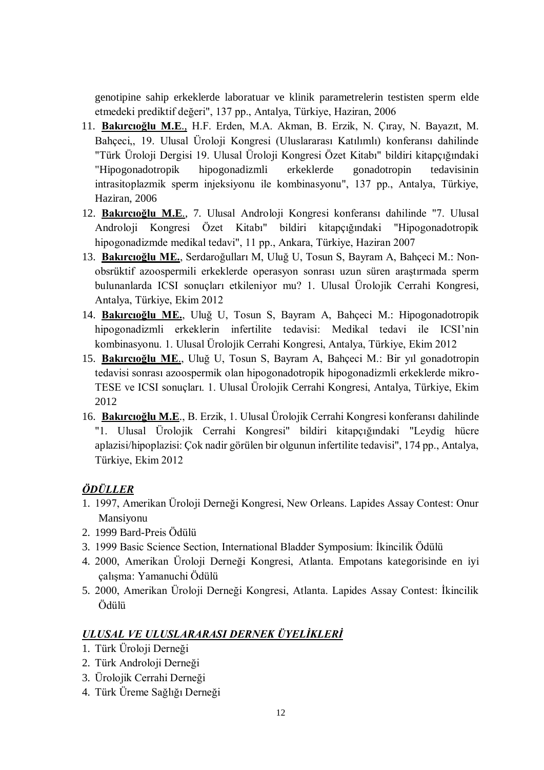genotipine sahip erkeklerde laboratuar ve klinik parametrelerin testisten sperm elde etmedeki prediktif değeri", 137 pp., Antalya, Türkiye, Haziran, 2006

- 11. **Bakırcıoğlu M.E**., H.F. Erden, M.A. Akman, B. Erzik, N. Çıray, N. Bayazıt, M. Bahçeci,, 19. Ulusal Üroloji Kongresi (Uluslararası Katılımlı) konferansı dahilinde "Türk Üroloji Dergisi 19. Ulusal Üroloji Kongresi Özet Kitabı" bildiri kitapçığındaki "Hipogonadotropik hipogonadizmli erkeklerde gonadotropin tedavisinin intrasitoplazmik sperm injeksiyonu ile kombinasyonu", 137 pp., Antalya, Türkiye, Haziran, 2006
- 12. **Bakırcıoğlu M.E**., 7. Ulusal Androloji Kongresi konferansı dahilinde "7. Ulusal Androloji Kongresi Özet Kitabı" bildiri kitapçığındaki "Hipogonadotropik hipogonadizmde medikal tedavi", 11 pp., Ankara, Türkiye, Haziran 2007
- 13. **Bakırcıoğlu ME.**, Serdaroğulları M, Uluğ U, Tosun S, Bayram A, Bahçeci M.: Nonobsrüktif azoospermili erkeklerde operasyon sonrası uzun süren araştırmada sperm bulunanlarda ICSI sonuçları etkileniyor mu? 1. Ulusal Ürolojik Cerrahi Kongresi, Antalya, Türkiye, Ekim 2012
- 14. **Bakırcıoğlu ME.**, Uluğ U, Tosun S, Bayram A, Bahçeci M.: Hipogonadotropik hipogonadizmli erkeklerin infertilite tedavisi: Medikal tedavi ile ICSI'nin kombinasyonu. 1. Ulusal Ürolojik Cerrahi Kongresi, Antalya, Türkiye, Ekim 2012
- 15. **Bakırcıoğlu ME**., Uluğ U, Tosun S, Bayram A, Bahçeci M.: Bir yıl gonadotropin tedavisi sonrası azoospermik olan hipogonadotropik hipogonadizmli erkeklerde mikro-TESE ve ICSI sonuçları. 1. Ulusal Ürolojik Cerrahi Kongresi, Antalya, Türkiye, Ekim 2012
- 16. **Bakırcıoğlu M.E**., B. Erzik, 1. Ulusal Ürolojik Cerrahi Kongresi konferansı dahilinde "1. Ulusal Ürolojik Cerrahi Kongresi" bildiri kitapçığındaki "Leydig hücre aplazisi/hipoplazisi: Çok nadir görülen bir olgunun infertilite tedavisi", 174 pp., Antalya, Türkiye, Ekim 2012

### *ÖDÜLLER*

- 1. 1997, Amerikan Üroloji Derneği Kongresi, New Orleans. Lapides Assay Contest: Onur Mansiyonu
- 2. 1999 Bard-Preis Ödülü
- 3. 1999 Basic Science Section, International Bladder Symposium: İkincilik Ödülü
- 4. 2000, Amerikan Üroloji Derneği Kongresi, Atlanta. Empotans kategorisinde en iyi çalışma: Yamanuchi Ödülü
- 5. 2000, Amerikan Üroloji Derneği Kongresi, Atlanta. Lapides Assay Contest: İkincilik Ödülü

### *ULUSAL VE ULUSLARARASI DERNEK ÜYELİKLERİ*

- 1. Türk Üroloji Derneği
- 2. Türk Androloji Derneği
- 3. Ürolojik Cerrahi Derneği
- 4. Türk Üreme Sağlığı Derneği